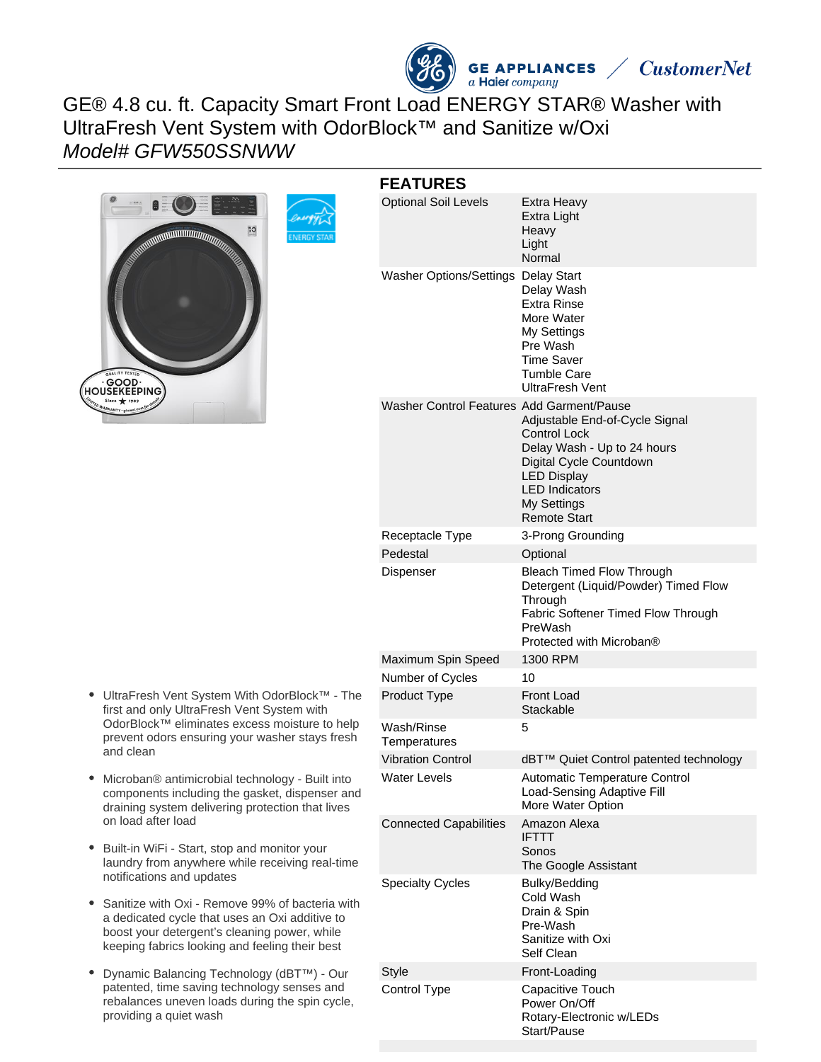# GE® 4.8 cu. ft. Capacity Smart Front Load ENERGY STAR® Washer with UltraFresh Vent System with OdorBlock™ and Sanitize w/Oxi Model# GFW550SSNWW



| UltraFresh Vent System With OdorBlock™ - The   |
|------------------------------------------------|
| first and only UltraFresh Vent System with     |
| OdorBlock™ eliminates excess moisture to help  |
| prevent odors ensuring your washer stays fresh |
| and clean                                      |
|                                                |

- Microban® antimicrobial technology Built into components including the gasket, dispenser and draining system delivering protection that lives on load after load
- Built-in WiFi Start, stop and monitor your  $\bullet$ laundry from anywhere while receiving real-time notifications and updates
- Sanitize with Oxi Remove 99% of bacteria with a dedicated cycle that uses an Oxi additive to boost your detergent's cleaning power, while keeping fabrics looking and feeling their best
- Dynamic Balancing Technology (dBT™) Our patented, time saving technology senses and rebalances uneven loads during the spin cycle, providing a quiet wash

#### **FEATURES** Optional Soil Levels Extra Heavy Extra Light Heavy Light Normal Washer Options/Settings Delay Start Delay Wash Extra Rinse More Water My Settings Pre Wash Time Saver Tumble Care UltraFresh Vent Washer Control Features Add Garment/Pause Adjustable End-of-Cycle Signal Control Lock Delay Wash - Up to 24 hours Digital Cycle Countdown LED Display LED Indicators My Settings Remote Start Receptacle Type 3-Prong Grounding Pedestal **Optional** Dispenser Bleach Timed Flow Through Detergent (Liquid/Powder) Timed Flow **Through** Fabric Softener Timed Flow Through PreWash Protected with Microban® Maximum Spin Speed 1300 RPM Number of Cycles 10 Product Type Front Load **Stackable** Wash/Rinse **Temperatures** 5 Vibration Control dBT™ Quiet Control patented technology Water Levels **Automatic Temperature Control** Load-Sensing Adaptive Fill More Water Option Connected Capabilities Amazon Alexa IFTTT Sonos The Google Assistant Specialty Cycles Bulky/Bedding Cold Wash Drain & Spin Pre-Wash Sanitize with Oxi Self Clean Style **Front-Loading** Control Type Capacitive Touch Power On/Off

**GE APPLIANCES** 

a Haier company

**CustomerNet** 

Rotary-Electronic w/LEDs

Start/Pause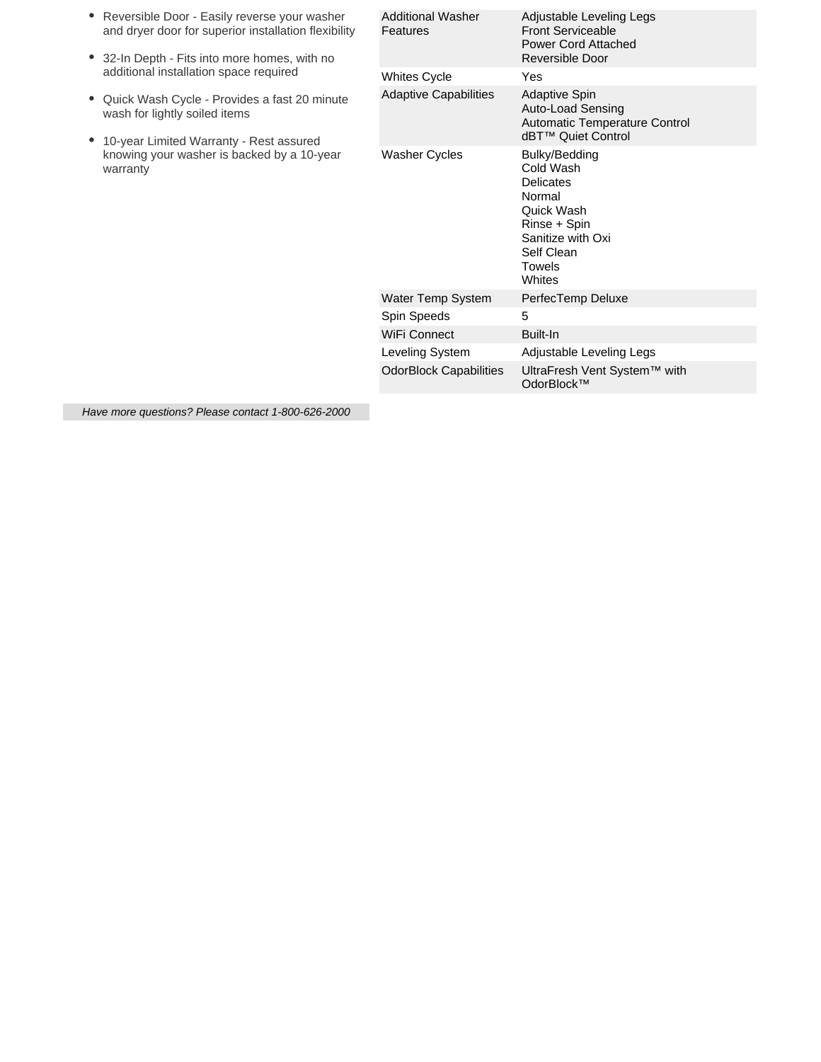| Reversible Door - Easily reverse your washer<br>and dryer door for superior installation flexibility<br>32-In Depth - Fits into more homes, with no<br>٠                                | <b>Additional Washer</b><br>Features | Adjustable Leveling Legs<br><b>Front Serviceable</b><br><b>Power Cord Attached</b><br>Reversible Door                                                |
|-----------------------------------------------------------------------------------------------------------------------------------------------------------------------------------------|--------------------------------------|------------------------------------------------------------------------------------------------------------------------------------------------------|
| additional installation space required                                                                                                                                                  | <b>Whites Cycle</b>                  | Yes                                                                                                                                                  |
| Quick Wash Cycle - Provides a fast 20 minute<br>٠<br>wash for lightly soiled items<br>10-year Limited Warranty - Rest assured<br>knowing your washer is backed by a 10-year<br>warranty | <b>Adaptive Capabilities</b>         | <b>Adaptive Spin</b><br>Auto-Load Sensing<br><b>Automatic Temperature Control</b><br>dBT™ Quiet Control                                              |
|                                                                                                                                                                                         | <b>Washer Cycles</b>                 | Bulky/Bedding<br>Cold Wash<br><b>Delicates</b><br>Normal<br>Quick Wash<br>Rinse + Spin<br>Sanitize with Oxi<br>Self Clean<br><b>Towels</b><br>Whites |
|                                                                                                                                                                                         | Water Temp System                    | PerfecTemp Deluxe                                                                                                                                    |
|                                                                                                                                                                                         | Spin Speeds                          | 5                                                                                                                                                    |
|                                                                                                                                                                                         | WiFi Connect                         | Built-In                                                                                                                                             |
|                                                                                                                                                                                         | Leveling System                      | Adjustable Leveling Legs                                                                                                                             |
|                                                                                                                                                                                         | <b>OdorBlock Capabilities</b>        | UltraFresh Vent System™ with<br>OdorBlock™                                                                                                           |
|                                                                                                                                                                                         |                                      |                                                                                                                                                      |

Have more questions? Please contact 1-800-626-2000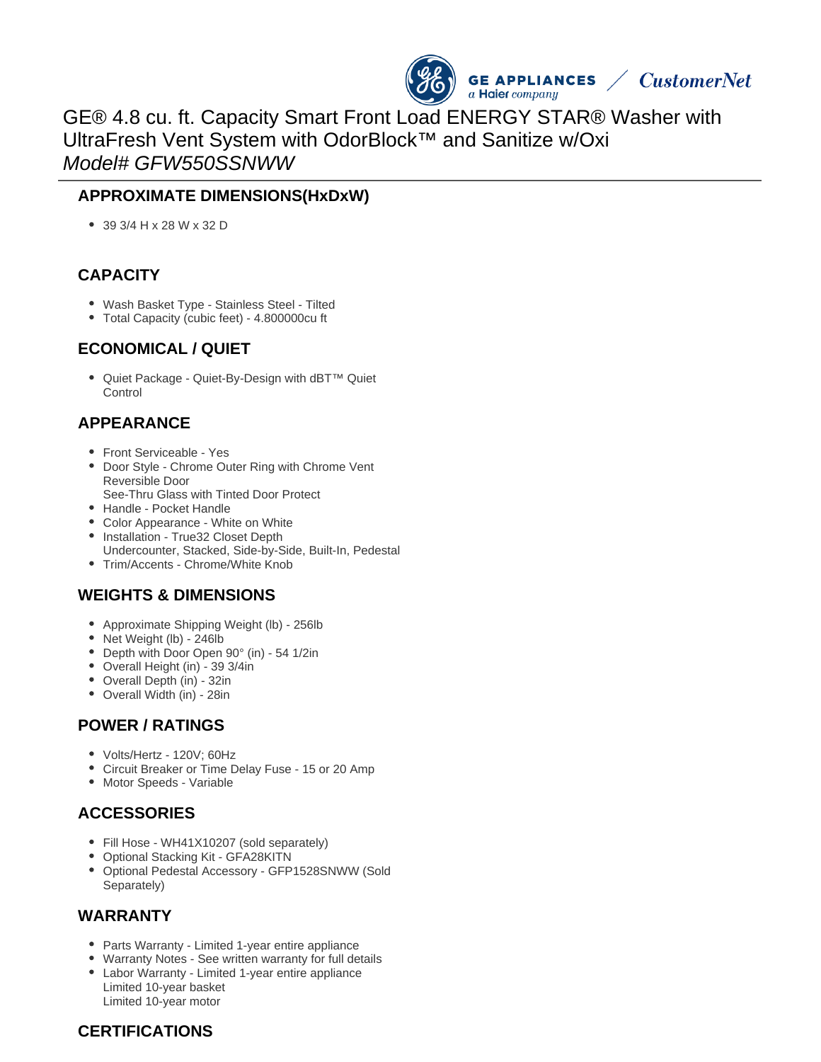

GE® 4.8 cu. ft. Capacity Smart Front Load ENERGY STAR® Washer with UltraFresh Vent System with OdorBlock™ and Sanitize w/Oxi Model# GFW550SSNWW

#### **APPROXIMATE DIMENSIONS(HxDxW)**

39 3/4 H x 28 W x 32 D

## **CAPACITY**

- Wash Basket Type Stainless Steel Tilted
- Total Capacity (cubic feet) 4.800000cu ft

#### **ECONOMICAL / QUIET**

● Quiet Package - Quiet-By-Design with dBT<sup>™</sup> Quiet Control

# **APPEARANCE**

- Front Serviceable Yes
- Door Style Chrome Outer Ring with Chrome Vent Reversible Door
- See-Thru Glass with Tinted Door Protect
- Handle Pocket Handle
- Color Appearance White on White
- Installation True32 Closet Depth Undercounter, Stacked, Side-by-Side, Built-In, Pedestal
- Trim/Accents Chrome/White Knob

## **WEIGHTS & DIMENSIONS**

- Approximate Shipping Weight (lb) 256lb
- Net Weight (lb) 246lb
- Depth with Door Open 90° (in) 54 1/2in
- Overall Height (in) 39 3/4in
- Overall Depth (in) 32in
- Overall Width (in) 28in

## **POWER / RATINGS**

- Volts/Hertz 120V; 60Hz
- Circuit Breaker or Time Delay Fuse 15 or 20 Amp
- Motor Speeds Variable

## **ACCESSORIES**

- Fill Hose WH41X10207 (sold separately)
- Optional Stacking Kit GFA28KITN
- Optional Pedestal Accessory GFP1528SNWW (Sold Separately)

#### **WARRANTY**

- Parts Warranty Limited 1-year entire appliance
- Warranty Notes See written warranty for full details
- Labor Warranty Limited 1-year entire appliance Limited 10-year basket Limited 10-year motor

## **CERTIFICATIONS**